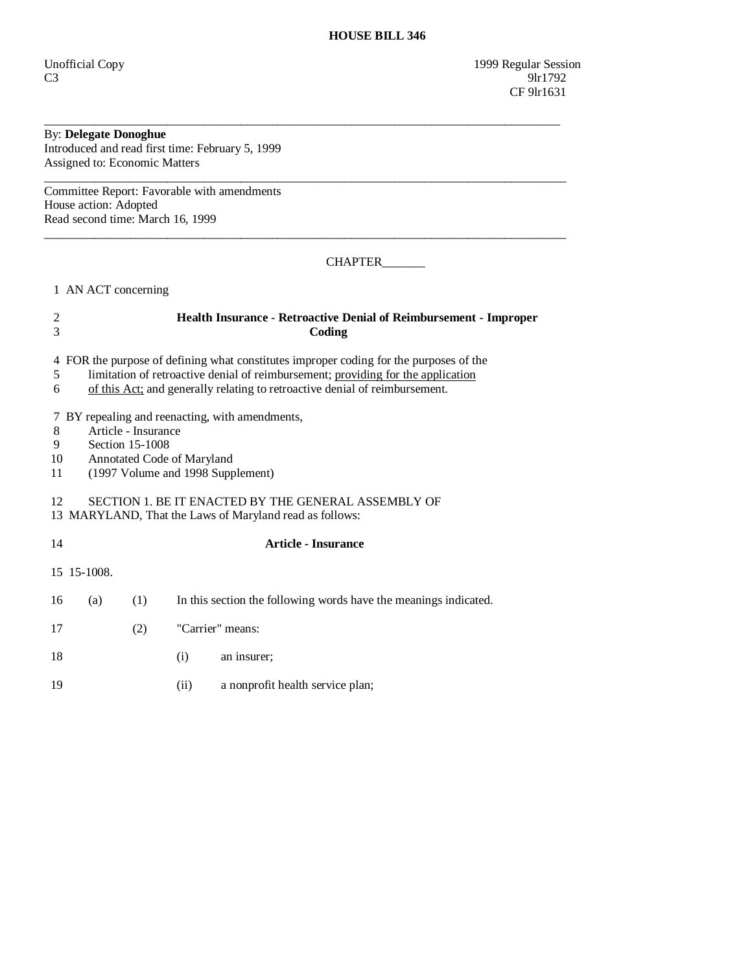# By: **Delegate Donoghue**

Introduced and read first time: February 5, 1999 Assigned to: Economic Matters

Committee Report: Favorable with amendments House action: Adopted Read second time: March 16, 1999

CHAPTER\_\_\_\_\_\_\_

1 AN ACT concerning

## 2 **Health Insurance - Retroactive Denial of Reimbursement - Improper**  3 **Coding**

\_\_\_\_\_\_\_\_\_\_\_\_\_\_\_\_\_\_\_\_\_\_\_\_\_\_\_\_\_\_\_\_\_\_\_\_\_\_\_\_\_\_\_\_\_\_\_\_\_\_\_\_\_\_\_\_\_\_\_\_\_\_\_\_\_\_\_\_\_\_\_\_\_\_\_\_\_\_\_\_\_\_\_\_

 $\overline{\phantom{a}}$  ,  $\overline{\phantom{a}}$  ,  $\overline{\phantom{a}}$  ,  $\overline{\phantom{a}}$  ,  $\overline{\phantom{a}}$  ,  $\overline{\phantom{a}}$  ,  $\overline{\phantom{a}}$  ,  $\overline{\phantom{a}}$  ,  $\overline{\phantom{a}}$  ,  $\overline{\phantom{a}}$  ,  $\overline{\phantom{a}}$  ,  $\overline{\phantom{a}}$  ,  $\overline{\phantom{a}}$  ,  $\overline{\phantom{a}}$  ,  $\overline{\phantom{a}}$  ,  $\overline{\phantom{a}}$ 

 $\overline{\phantom{a}}$  ,  $\overline{\phantom{a}}$  ,  $\overline{\phantom{a}}$  ,  $\overline{\phantom{a}}$  ,  $\overline{\phantom{a}}$  ,  $\overline{\phantom{a}}$  ,  $\overline{\phantom{a}}$  ,  $\overline{\phantom{a}}$  ,  $\overline{\phantom{a}}$  ,  $\overline{\phantom{a}}$  ,  $\overline{\phantom{a}}$  ,  $\overline{\phantom{a}}$  ,  $\overline{\phantom{a}}$  ,  $\overline{\phantom{a}}$  ,  $\overline{\phantom{a}}$  ,  $\overline{\phantom{a}}$ 

4 FOR the purpose of defining what constitutes improper coding for the purposes of the

- 5 limitation of retroactive denial of reimbursement; providing for the application
- 6 of this Act; and generally relating to retroactive denial of reimbursement.

7 BY repealing and reenacting, with amendments,

- 8 Article Insurance<br>9 Section 15-1008
- 9 Section 15-1008<br>10 Annotated Code
- Annotated Code of Maryland
- 11 (1997 Volume and 1998 Supplement)

### 12 SECTION 1. BE IT ENACTED BY THE GENERAL ASSEMBLY OF

13 MARYLAND, That the Laws of Maryland read as follows:

### 14 **Article - Insurance**

15 15-1008.

- 16 (a) (1) In this section the following words have the meanings indicated.
- 17 (2) "Carrier" means:
- 18 (i) an insurer;
- 19 (ii) a nonprofit health service plan;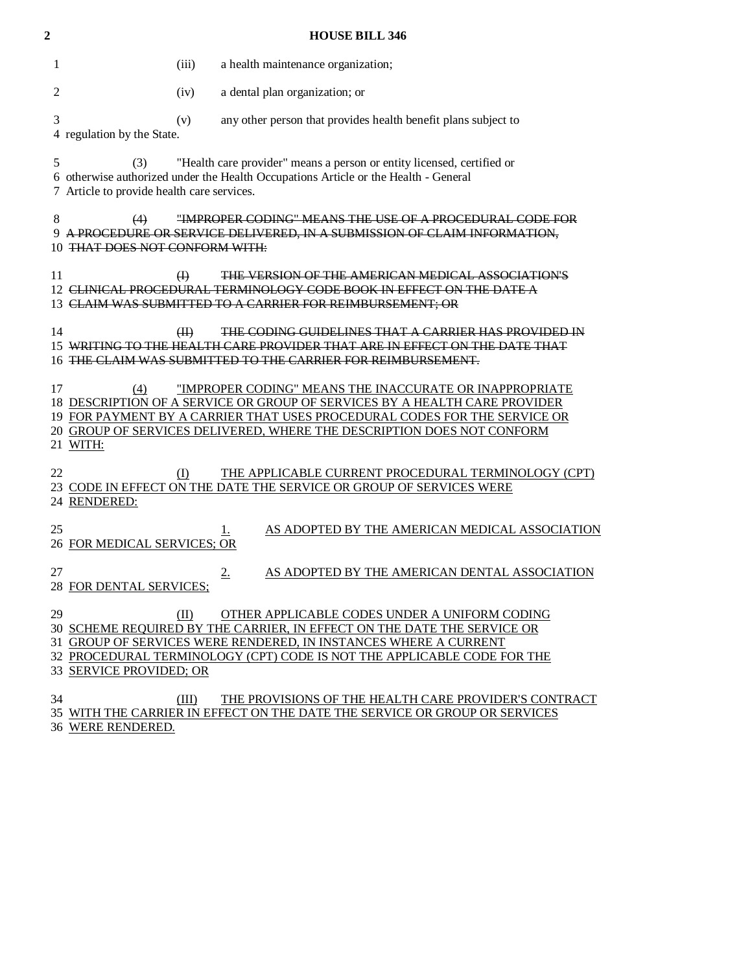| 2  |                                                        |          | <b>HOUSE BILL 346</b>                                                                                                                                                                                                                                                                        |
|----|--------------------------------------------------------|----------|----------------------------------------------------------------------------------------------------------------------------------------------------------------------------------------------------------------------------------------------------------------------------------------------|
| 1  |                                                        | (iii)    | a health maintenance organization;                                                                                                                                                                                                                                                           |
|    | 2                                                      | (iv)     | a dental plan organization; or                                                                                                                                                                                                                                                               |
|    | 3<br>4 regulation by the State.                        | (v)      | any other person that provides health benefit plans subject to                                                                                                                                                                                                                               |
|    | 5<br>(3)<br>7 Article to provide health care services. |          | "Health care provider" means a person or entity licensed, certified or<br>6 otherwise authorized under the Health Occupations Article or the Health - General                                                                                                                                |
|    | 8<br>(4)<br>9.<br>10 THAT DOES NOT CONFORM WITH:       |          | "IMPROPER CODING" MEANS THE USE OF A PROCEDURAL CODE FOR<br>A PROCEDURE OR SERVICE DELIVERED, IN A SUBMISSION OF CLAIM INFORMATION,                                                                                                                                                          |
| 11 | 12                                                     | $\oplus$ | <b>THE VERSION OF THE AMERICAN MEDICAL ASSOCIATION'S</b><br>CLINICAL PROCEDURAL TERMINOLOGY CODE BOOK IN EFFECT ON THE DATE A<br>CLAIM WAS SUBMITTED TO A CARRIER FOR REIMBURSEMENT; OR                                                                                                      |
|    | 14<br>15<br>16                                         | (H)      | THE CODING GUIDELINES THAT A CARRIER HAS PROVIDED IN<br>WRITING TO THE HEALTH CARE PROVIDER THAT ARE IN EFFECT ON THE DATE THAT<br>THE CLAIM WAS SUBMITTED TO THE CARRIER FOR REIMBURSEMENT.                                                                                                 |
| 17 | (4)<br>21 WITH:                                        |          | "IMPROPER CODING" MEANS THE INACCURATE OR INAPPROPRIATE<br>18 DESCRIPTION OF A SERVICE OR GROUP OF SERVICES BY A HEALTH CARE PROVIDER<br>19 FOR PAYMENT BY A CARRIER THAT USES PROCEDURAL CODES FOR THE SERVICE OR<br>20 GROUP OF SERVICES DELIVERED, WHERE THE DESCRIPTION DOES NOT CONFORM |
| 22 | 23<br>24 RENDERED:                                     | (I)      | THE APPLICABLE CURRENT PROCEDURAL TERMINOLOGY (CPT)<br>CODE IN EFFECT ON THE DATE THE SERVICE OR GROUP OF SERVICES WERE                                                                                                                                                                      |
| 25 | 26 FOR MEDICAL SERVICES; OR                            |          | AS ADOPTED BY THE AMERICAN MEDICAL ASSOCIATION<br>Ī.                                                                                                                                                                                                                                         |
| 27 | 28 FOR DENTAL SERVICES;                                |          | 2.<br>AS ADOPTED BY THE AMERICAN DENTAL ASSOCIATION                                                                                                                                                                                                                                          |
|    | 29<br>33 SERVICE PROVIDED; OR                          | (II)     | OTHER APPLICABLE CODES UNDER A UNIFORM CODING<br>30 SCHEME REQUIRED BY THE CARRIER, IN EFFECT ON THE DATE THE SERVICE OR<br>31 GROUP OF SERVICES WERE RENDERED, IN INSTANCES WHERE A CURRENT<br>32 PROCEDURAL TERMINOLOGY (CPT) CODE IS NOT THE APPLICABLE CODE FOR THE                      |
|    | 34<br>36 WERE RENDERED.                                | (III)    | THE PROVISIONS OF THE HEALTH CARE PROVIDER'S CONTRACT<br>35 WITH THE CARRIER IN EFFECT ON THE DATE THE SERVICE OR GROUP OR SERVICES                                                                                                                                                          |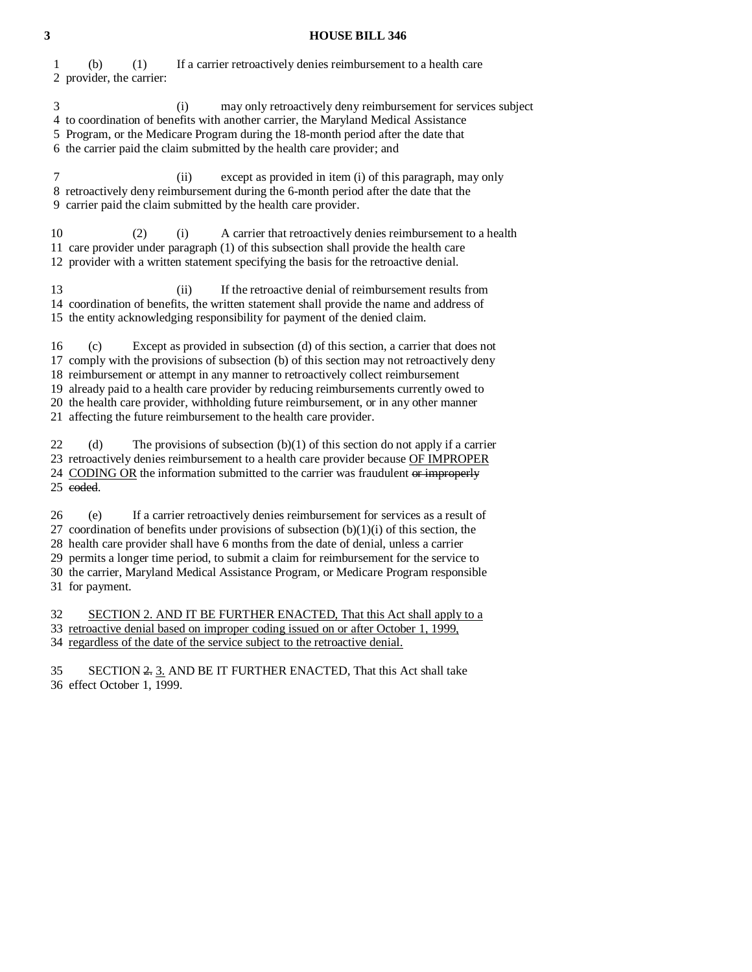#### **3 HOUSE BILL 346**

 1 (b) (1) If a carrier retroactively denies reimbursement to a health care 2 provider, the carrier:

3 (i) may only retroactively deny reimbursement for services subject

4 to coordination of benefits with another carrier, the Maryland Medical Assistance

5 Program, or the Medicare Program during the 18-month period after the date that

6 the carrier paid the claim submitted by the health care provider; and

 7 (ii) except as provided in item (i) of this paragraph, may only 8 retroactively deny reimbursement during the 6-month period after the date that the 9 carrier paid the claim submitted by the health care provider.

 10 (2) (i) A carrier that retroactively denies reimbursement to a health 11 care provider under paragraph (1) of this subsection shall provide the health care 12 provider with a written statement specifying the basis for the retroactive denial.

 13 (ii) If the retroactive denial of reimbursement results from 14 coordination of benefits, the written statement shall provide the name and address of 15 the entity acknowledging responsibility for payment of the denied claim.

 16 (c) Except as provided in subsection (d) of this section, a carrier that does not 17 comply with the provisions of subsection (b) of this section may not retroactively deny 18 reimbursement or attempt in any manner to retroactively collect reimbursement 19 already paid to a health care provider by reducing reimbursements currently owed to 20 the health care provider, withholding future reimbursement, or in any other manner 21 affecting the future reimbursement to the health care provider.

22 (d) The provisions of subsection  $(b)(1)$  of this section do not apply if a carrier 23 retroactively denies reimbursement to a health care provider because OF IMPROPER 24 CODING OR the information submitted to the carrier was fraudulent or improperly 25 coded.

 26 (e) If a carrier retroactively denies reimbursement for services as a result of 27 coordination of benefits under provisions of subsection  $(b)(1)(i)$  of this section, the 28 health care provider shall have 6 months from the date of denial, unless a carrier 29 permits a longer time period, to submit a claim for reimbursement for the service to 30 the carrier, Maryland Medical Assistance Program, or Medicare Program responsible 31 for payment.

32 SECTION 2. AND IT BE FURTHER ENACTED, That this Act shall apply to a 33 retroactive denial based on improper coding issued on or after October 1, 1999, 34 regardless of the date of the service subject to the retroactive denial.

 35 SECTION 2. 3. AND BE IT FURTHER ENACTED, That this Act shall take 36 effect October 1, 1999.